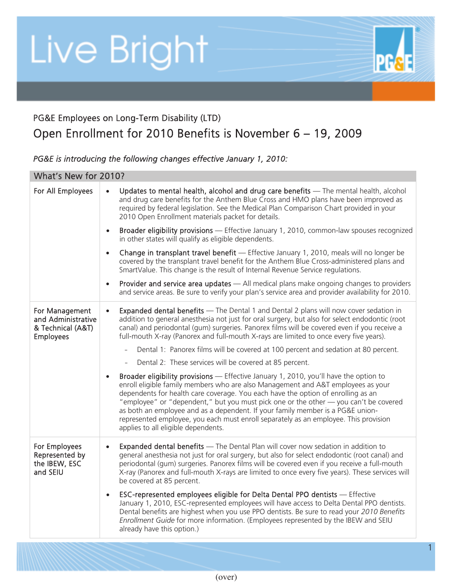## Live Bright



### PG&E Employees on Long-Term Disability (LTD) Open Enrollment for 2010 Benefits is November 6 – 19, 2009

*PG&E is introducing the following changes effective January 1, 2010:* 

#### What's New for 2010?

| For All Employees                                                             | Updates to mental health, alcohol and drug care benefits - The mental health, alcohol<br>and drug care benefits for the Anthem Blue Cross and HMO plans have been improved as<br>required by federal legislation. See the Medical Plan Comparison Chart provided in your<br>2010 Open Enrollment materials packet for details.<br>Broader eligibility provisions - Effective January 1, 2010, common-law spouses recognized<br>in other states will qualify as eligible dependents.                                                                                    |
|-------------------------------------------------------------------------------|------------------------------------------------------------------------------------------------------------------------------------------------------------------------------------------------------------------------------------------------------------------------------------------------------------------------------------------------------------------------------------------------------------------------------------------------------------------------------------------------------------------------------------------------------------------------|
|                                                                               | Change in transplant travel benefit - Effective January 1, 2010, meals will no longer be<br>$\bullet$<br>covered by the transplant travel benefit for the Anthem Blue Cross-administered plans and<br>SmartValue. This change is the result of Internal Revenue Service regulations.                                                                                                                                                                                                                                                                                   |
|                                                                               | Provider and service area updates - All medical plans make ongoing changes to providers<br>and service areas. Be sure to verify your plan's service area and provider availability for 2010.                                                                                                                                                                                                                                                                                                                                                                           |
| For Management<br>and Administrative<br>& Technical (A&T)<br><b>Employees</b> | Expanded dental benefits - The Dental 1 and Dental 2 plans will now cover sedation in<br>$\bullet$<br>addition to general anesthesia not just for oral surgery, but also for select endodontic (root<br>canal) and periodontal (gum) surgeries. Panorex films will be covered even if you receive a<br>full-mouth X-ray (Panorex and full-mouth X-rays are limited to once every five years).                                                                                                                                                                          |
|                                                                               | Dental 1: Panorex films will be covered at 100 percent and sedation at 80 percent.                                                                                                                                                                                                                                                                                                                                                                                                                                                                                     |
|                                                                               | Dental 2: These services will be covered at 85 percent.                                                                                                                                                                                                                                                                                                                                                                                                                                                                                                                |
|                                                                               | Broader eligibility provisions - Effective January 1, 2010, you'll have the option to<br>enroll eligible family members who are also Management and A&T employees as your<br>dependents for health care coverage. You each have the option of enrolling as an<br>"employee" or "dependent," but you must pick one or the other - you can't be covered<br>as both an employee and as a dependent. If your family member is a PG&E union-<br>represented employee, you each must enroll separately as an employee. This provision<br>applies to all eligible dependents. |
| For Employees<br>Represented by<br>the IBEW, ESC<br>and SEIU                  | <b>Expanded dental benefits</b> - The Dental Plan will cover now sedation in addition to<br>general anesthesia not just for oral surgery, but also for select endodontic (root canal) and<br>periodontal (gum) surgeries. Panorex films will be covered even if you receive a full-mouth<br>X-ray (Panorex and full-mouth X-rays are limited to once every five years). These services will<br>be covered at 85 percent.                                                                                                                                               |
|                                                                               | ESC-represented employees eligible for Delta Dental PPO dentists - Effective<br>January 1, 2010, ESC-represented employees will have access to Delta Dental PPO dentists.<br>Dental benefits are highest when you use PPO dentists. Be sure to read your 2010 Benefits<br>Enrollment Guide for more information. (Employees represented by the IBEW and SEIU<br>already have this option.)                                                                                                                                                                             |